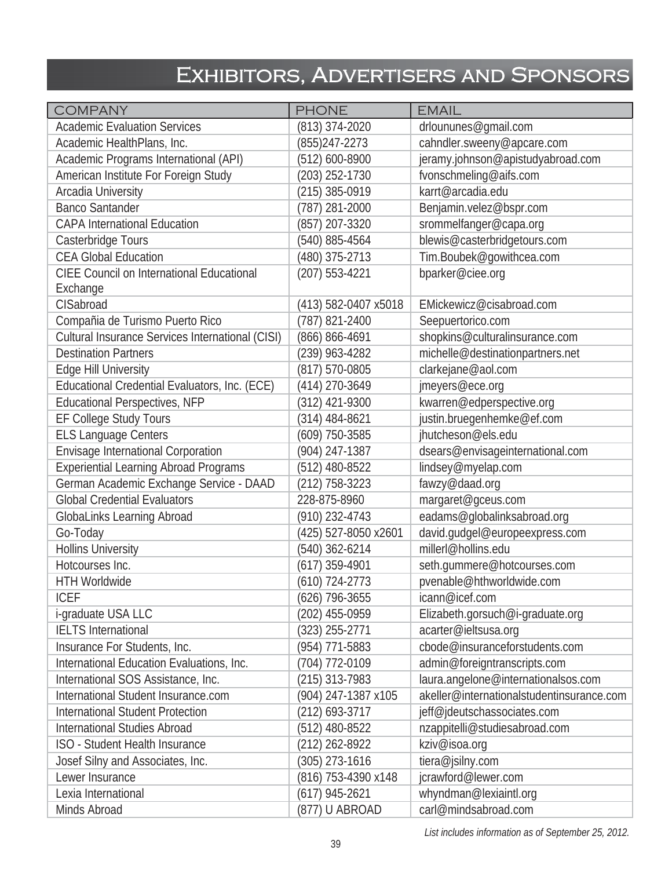## Exhibitors, Advertisers and Sponsors

| <b>COMPANY</b>                                   | <b>PHONE</b>         | <b>EMAIL</b>                              |
|--------------------------------------------------|----------------------|-------------------------------------------|
| <b>Academic Evaluation Services</b>              | (813) 374-2020       | drloununes@gmail.com                      |
| Academic HealthPlans, Inc.                       | $(855)247 - 2273$    | cahndler.sweeny@apcare.com                |
| Academic Programs International (API)            | (512) 600-8900       | jeramy.johnson@apistudyabroad.com         |
| American Institute For Foreign Study             | (203) 252-1730       | fvonschmeling@aifs.com                    |
| Arcadia University                               | (215) 385-0919       | karrt@arcadia.edu                         |
| <b>Banco Santander</b>                           | (787) 281-2000       | Benjamin.velez@bspr.com                   |
| <b>CAPA International Education</b>              | (857) 207-3320       | srommelfanger@capa.org                    |
| Casterbridge Tours                               | (540) 885-4564       | blewis@casterbridgetours.com              |
| <b>CEA Global Education</b>                      | (480) 375-2713       | Tim.Boubek@gowithcea.com                  |
| <b>CIEE Council on International Educational</b> | (207) 553-4221       | bparker@ciee.org                          |
| Exchange                                         |                      |                                           |
| CISabroad                                        | (413) 582-0407 x5018 | EMickewicz@cisabroad.com                  |
| Compañia de Turismo Puerto Rico                  | (787) 821-2400       | Seepuertorico.com                         |
| Cultural Insurance Services International (CISI) | (866) 866-4691       | shopkins@culturalinsurance.com            |
| <b>Destination Partners</b>                      | $(239)$ 963-4282     | michelle@destinationpartners.net          |
| Edge Hill University                             | (817) 570-0805       | clarkejane@aol.com                        |
| Educational Credential Evaluators, Inc. (ECE)    | (414) 270-3649       | jmeyers@ece.org                           |
| <b>Educational Perspectives, NFP</b>             | (312) 421-9300       | kwarren@edperspective.org                 |
| EF College Study Tours                           | (314) 484-8621       | justin.bruegenhemke@ef.com                |
| <b>ELS Language Centers</b>                      | (609) 750-3585       | jhutcheson@els.edu                        |
| Envisage International Corporation               | (904) 247-1387       | dsears@envisageinternational.com          |
| <b>Experiential Learning Abroad Programs</b>     | (512) 480-8522       | lindsey@myelap.com                        |
| German Academic Exchange Service - DAAD          | $(212)$ 758-3223     | fawzy@daad.org                            |
| <b>Global Credential Evaluators</b>              | 228-875-8960         | margaret@gceus.com                        |
| GlobaLinks Learning Abroad                       | (910) 232-4743       | eadams@globalinksabroad.org               |
| Go-Today                                         | (425) 527-8050 x2601 | david.gudgel@europeexpress.com            |
| <b>Hollins University</b>                        | (540) 362-6214       | millerl@hollins.edu                       |
| Hotcourses Inc.                                  | $(617)$ 359-4901     | seth.gummere@hotcourses.com               |
| <b>HTH Worldwide</b>                             | (610) 724-2773       | pvenable@hthworldwide.com                 |
| <b>ICEF</b>                                      | (626) 796-3655       | icann@icef.com                            |
| i-graduate USA LLC                               | (202) 455-0959       | Elizabeth.gorsuch@i-graduate.org          |
| <b>IELTS</b> International                       | (323) 255-2771       | acarter@ieltsusa.org                      |
| Insurance For Students, Inc.                     | (954) 771-5883       | cbode@insuranceforstudents.com            |
| International Education Evaluations, Inc.        | (704) 772-0109       | admin@foreigntranscripts.com              |
| International SOS Assistance, Inc.               | (215) 313-7983       | laura.angelone@internationalsos.com       |
| International Student Insurance.com              | (904) 247-1387 x105  | akeller@internationalstudentinsurance.com |
| <b>International Student Protection</b>          | (212) 693-3717       | jeff@jdeutschassociates.com               |
| <b>International Studies Abroad</b>              | $(512)$ 480-8522     | nzappitelli@studiesabroad.com             |
| ISO - Student Health Insurance                   | (212) 262-8922       | kziv@isoa.org                             |
| Josef Silny and Associates, Inc.                 | (305) 273-1616       | tiera@jsilny.com                          |
| Lewer Insurance                                  | (816) 753-4390 x148  | jcrawford@lewer.com                       |
| Lexia International                              | $(617)$ 945-2621     | whyndman@lexiaintl.org                    |
| Minds Abroad                                     | (877) U ABROAD       | carl@mindsabroad.com                      |

*List includes information as of September 25, 2012.*